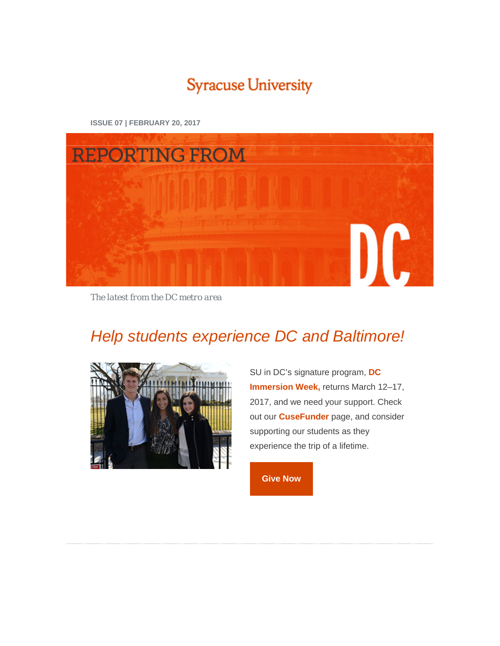# **Syracuse University**

**REPORTING FROM** DC

**ISSUE 07 | FEBRUARY 20, 2017**

*The latest from the DC metro area*

# *[Help students experience DC and Baltimore!](http://cusecommunity.syr.edu/s/1632/02-Alumni/index.aspx?sid=1632&gid=2&pgid=1682&sitebuilder=1&contentbuilder=1)*



SU in DC's signature program, **[DC](http://dc.syr.edu/learning-in-dc/dc-immersion-week.html)  [Immersion Week,](http://dc.syr.edu/learning-in-dc/dc-immersion-week.html)** returns March 12–17, 2017, and we need your support. Check out our **[CuseFunder](http://cusecommunity.syr.edu/s/1632/02-Alumni/index.aspx?sid=1632&gid=2&pgid=1682&sitebuilder=1&contentbuilder=1)** page, and consider supporting our students as they experience the trip of a lifetime.

**[Give](http://cusecommunity.syr.edu/s/1632/02-Alumni/index.aspx?sid=1632&gid=2&pgid=1682&sitebuilder=1&contentbuilder=1) Now**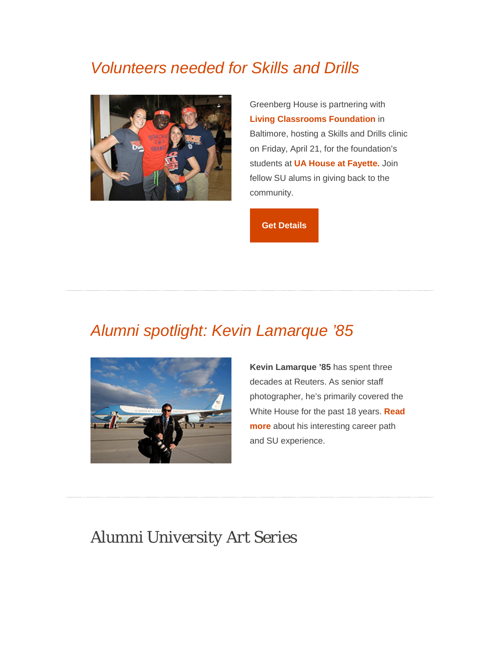# *[Volunteers needed for Skills and Drills](http://dc.syr.edu/events/index.html)*



Greenberg House is partnering with **[Living Classrooms Foundation](https://www.livingclassrooms.org/)** in Baltimore, hosting a Skills and Drills clinic on Friday, April 21, for the foundation's students at **[UA House at Fayette.](https://livingclassrooms.org/ourp_pgming_youth_development_center.php)** Join fellow SU alums in giving back to the community.

**Get [Details](http://dc.syr.edu/events/index.html)**

## *[Alumni spotlight: Kevin Lamarque '85](http://dc.syr.edu/alumni/alumni-profiles/kevin-lamarque-profile.html)*



**Kevin Lamarque '85** has spent three decades at Reuters. As senior staff photographer, he's primarily covered the White House for the past 18 years. **[Read](http://dc.syr.edu/alumni/alumni-profiles/kevin-lamarque-profile.html)  [more](http://dc.syr.edu/alumni/alumni-profiles/kevin-lamarque-profile.html)** about his interesting career path and SU experience.

## *Alumni University Art Series*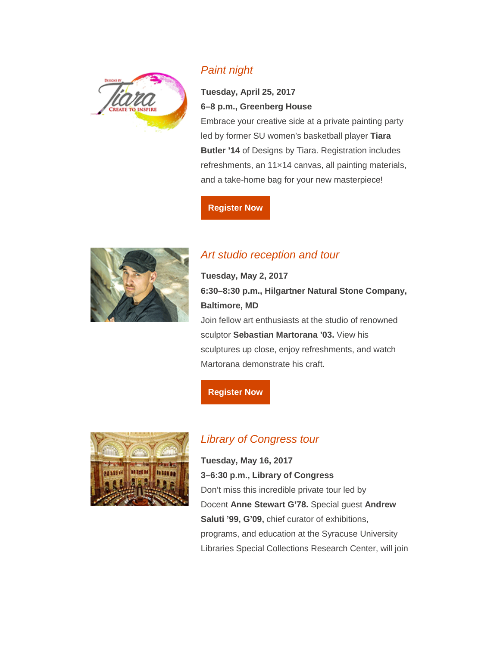

### *[Paint night](http://designsbytiara.com/index.html)*

### **Tuesday, April 25, 2017 6–8 p.m., Greenberg House**

Embrace your creative side at a private painting party led by former SU women's basketball player **Tiara Butler '14** of Designs by Tiara. Registration includes refreshments, an 11×14 canvas, all painting materials, and a take-home bag for your new masterpiece!

#### **[Register](http://cc.syr.edu/alumniuniversitypaintnight) Now**



## *[Art studio reception and tour](http://sebastianworks.com/)*

**Tuesday, May 2, 2017 6:30–8:30 p.m., Hilgartner Natural Stone Company, Baltimore, MD** Join fellow art enthusiasts at the studio of renowned

sculptor **Sebastian Martorana '03.** View his sculptures up close, enjoy refreshments, and watch Martorana demonstrate his craft.

#### **[Register](http://cc.syr.edu/alumniunversitysculpture) Now**



### *[Library of Congress tour](https://www.loc.gov/)*

**Tuesday, May 16, 2017 3–6:30 p.m., Library of Congress** Don't miss this incredible private tour led by Docent **Anne Stewart G'78.** Special guest **Andrew Saluti '99, G'09,** chief curator of exhibitions, programs, and education at the Syracuse University Libraries Special Collections Research Center, will join